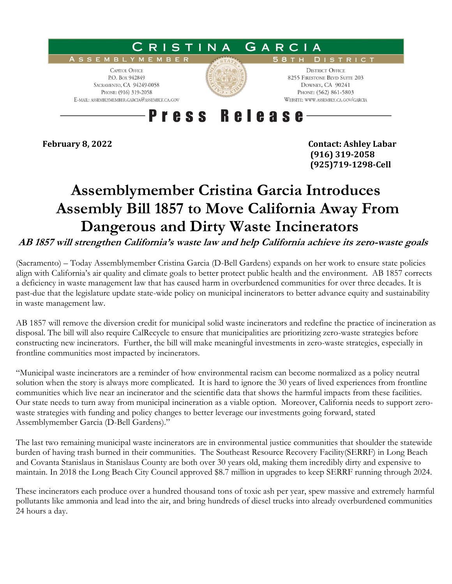

**February 8, 2022 Contact: Ashley Labar (916) 319-2058 (925)719-1298-Cell**

## **Assemblymember Cristina Garcia Introduces Assembly Bill 1857 to Move California Away From Dangerous and Dirty Waste Incinerators**

**AB 1857 will strengthen California's waste law and help California achieve its zero-waste goals**

(Sacramento) – Today Assemblymember Cristina Garcia (D-Bell Gardens) expands on her work to ensure state policies align with California's air quality and climate goals to better protect public health and the environment. AB 1857 corrects a deficiency in waste management law that has caused harm in overburdened communities for over three decades. It is past-due that the legislature update state-wide policy on municipal incinerators to better advance equity and sustainability in waste management law.

AB 1857 will remove the diversion credit for municipal solid waste incinerators and redefine the practice of incineration as disposal. The bill will also require CalRecycle to ensure that municipalities are prioritizing zero-waste strategies before constructing new incinerators. Further, the bill will make meaningful investments in zero-waste strategies, especially in frontline communities most impacted by incinerators.

"Municipal waste incinerators are a reminder of how environmental racism can become normalized as a policy neutral solution when the story is always more complicated. It is hard to ignore the 30 years of lived experiences from frontline communities which live near an incinerator and the scientific data that shows the harmful impacts from these facilities. Our state needs to turn away from municipal incineration as a viable option. Moreover, California needs to support zerowaste strategies with funding and policy changes to better leverage our investments going forward, stated Assemblymember Garcia (D-Bell Gardens)."

The last two remaining municipal waste incinerators are in environmental justice communities that shoulder the statewide burden of having trash burned in their communities. The Southeast Resource Recovery Facility(SERRF) in Long Beach and Covanta Stanislaus in Stanislaus County are both over 30 years old, making them incredibly dirty and expensive to maintain. In 2018 the Long Beach City Council approved \$8.7 million in upgrades to keep SERRF running through 2024.

These incinerators each produce over a hundred thousand tons of toxic ash per year, spew massive and extremely harmful pollutants like ammonia and lead into the air, and bring hundreds of diesel trucks into already overburdened communities 24 hours a day.